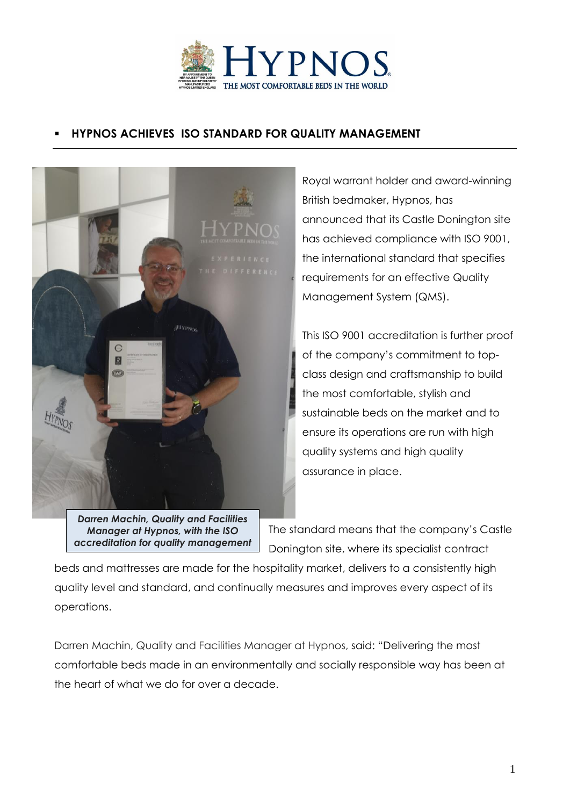

## **HYPNOS ACHIEVES ISO STANDARD FOR QUALITY MANAGEMENT**



announced that its Castle Donington site has achieved compliance with ISO 9001, the international standard that specifies requirements for an effective Quality Management System (QMS).

Royal warrant holder and award-winning

British bedmaker, Hypnos, has

This ISO 9001 accreditation is further proof of the company's commitment to topclass design and craftsmanship to build the most comfortable, stylish and sustainable beds on the market and to ensure its operations are run with high quality systems and high quality assurance in place.

*Darren Machin, Quality and Facilities Manager at Hypnos, with the ISO accreditation for quality management*

The standard means that the company's Castle Donington site, where its specialist contract

beds and mattresses are made for the hospitality market, delivers to a consistently high quality level and standard, and continually measures and improves every aspect of its operations.

Darren Machin, Quality and Facilities Manager at Hypnos, said: "Delivering the most comfortable beds made in an environmentally and socially responsible way has been at the heart of what we do for over a decade.